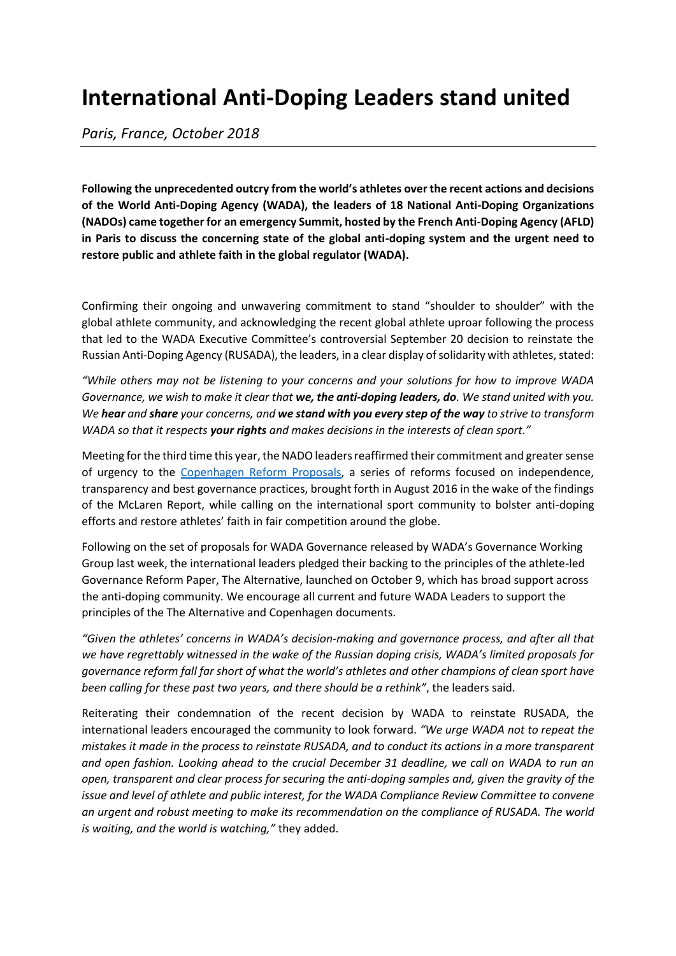## **International Anti-Doping Leaders stand united**

*Paris, France, October 2018*

**Following the unprecedented outcry from the world's athletes over the recent actions and decisions of the World Anti-Doping Agency (WADA), the leaders of 18 National Anti-Doping Organizations (NADOs) came together for an emergency Summit, hosted by the French Anti-Doping Agency (AFLD) in Paris to discuss the concerning state of the global anti-doping system and the urgent need to restore public and athlete faith in the global regulator (WADA).**

Confirming their ongoing and unwavering commitment to stand "shoulder to shoulder" with the global athlete community, and acknowledging the recent global athlete uproar following the process that led to the WADA Executive Committee's controversial September 20 decision to reinstate the Russian Anti-Doping Agency (RUSADA), the leaders, in a clear display of solidarity with athletes, stated:

*"While others may not be listening to your concerns and your solutions for how to improve WADA Governance, we wish to make it clear that we, the anti-doping leaders, do. We stand united with you. We hear and share your concerns, and we stand with you every step of the way to strive to transform WADA so that it respects your rights and makes decisions in the interests of clean sport."*

Meeting for the third time this year, the NADO leaders reaffirmed their commitment and greater sense of urgency to the [Copenhagen Reform Proposals,](/media/files/2016/Special_NADO_Summit_Reform_Proposals_30082016.pdf) a series of reforms focused on independence, transparency and best governance practices, brought forth in August 2016 in the wake of the findings of the McLaren Report, while calling on the international sport community to bolster anti-doping efforts and restore athletes' faith in fair competition around the globe.

Following on the set of proposals for WADA Governance released by WADA's Governance Working Group last week, the international leaders pledged their backing to the principles of the athlete-led Governance Reform Paper, The Alternative, launched on October 9, which has broad support across the anti-doping community. We encourage all current and future WADA Leaders to support the principles of the The Alternative and Copenhagen documents.

*"Given the athletes' concerns in WADA's decision-making and governance process, and after all that we have regrettably witnessed in the wake of the Russian doping crisis, WADA's limited proposals for governance reform fall far short of what the world's athletes and other champions of clean sport have been calling for these past two years, and there should be a rethink"*, the leaders said.

Reiterating their condemnation of the recent decision by WADA to reinstate RUSADA, the international leaders encouraged the community to look forward. *"We urge WADA not to repeat the mistakes it made in the process to reinstate RUSADA, and to conduct its actions in a more transparent and open fashion. Looking ahead to the crucial December 31 deadline, we call on WADA to run an open, transparent and clear process for securing the anti-doping samples and, given the gravity of the issue and level of athlete and public interest, for the WADA Compliance Review Committee to convene an urgent and robust meeting to make its recommendation on the compliance of RUSADA. The world is waiting, and the world is watching,"* they added.